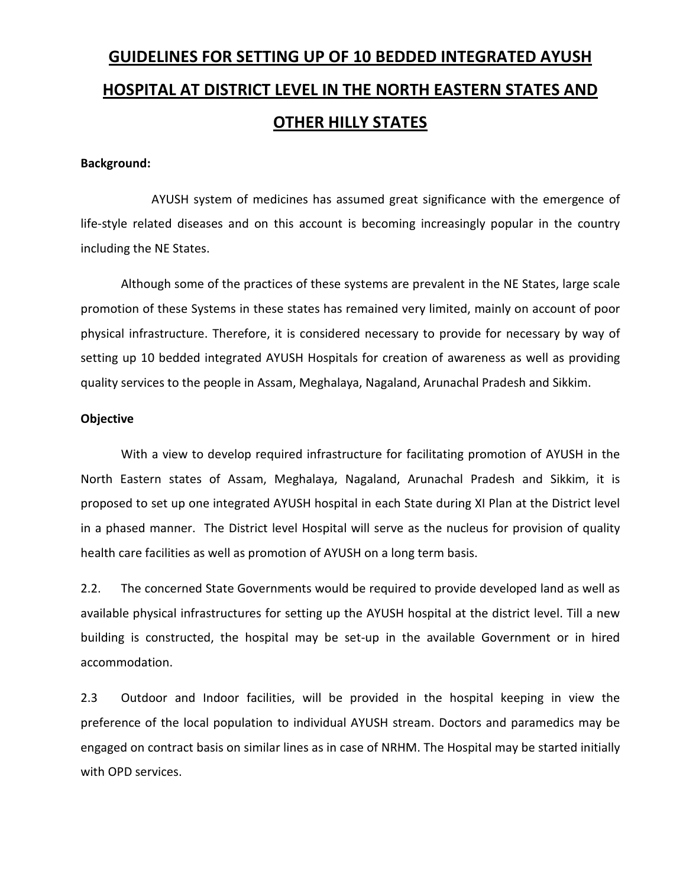# GUIDELINES FOR SETTING UP OF 10 BEDDED INTEGRATED AYUSH HOSPITAL AT DISTRICT LEVEL IN THE NORTH EASTERN STATES AND OTHER HILLY STATES

#### Background:

 AYUSH system of medicines has assumed great significance with the emergence of life-style related diseases and on this account is becoming increasingly popular in the country including the NE States.

Although some of the practices of these systems are prevalent in the NE States, large scale promotion of these Systems in these states has remained very limited, mainly on account of poor physical infrastructure. Therefore, it is considered necessary to provide for necessary by way of setting up 10 bedded integrated AYUSH Hospitals for creation of awareness as well as providing quality services to the people in Assam, Meghalaya, Nagaland, Arunachal Pradesh and Sikkim.

#### **Objective**

With a view to develop required infrastructure for facilitating promotion of AYUSH in the North Eastern states of Assam, Meghalaya, Nagaland, Arunachal Pradesh and Sikkim, it is proposed to set up one integrated AYUSH hospital in each State during XI Plan at the District level in a phased manner. The District level Hospital will serve as the nucleus for provision of quality health care facilities as well as promotion of AYUSH on a long term basis.

2.2. The concerned State Governments would be required to provide developed land as well as available physical infrastructures for setting up the AYUSH hospital at the district level. Till a new building is constructed, the hospital may be set-up in the available Government or in hired accommodation.

2.3 Outdoor and Indoor facilities, will be provided in the hospital keeping in view the preference of the local population to individual AYUSH stream. Doctors and paramedics may be engaged on contract basis on similar lines as in case of NRHM. The Hospital may be started initially with OPD services.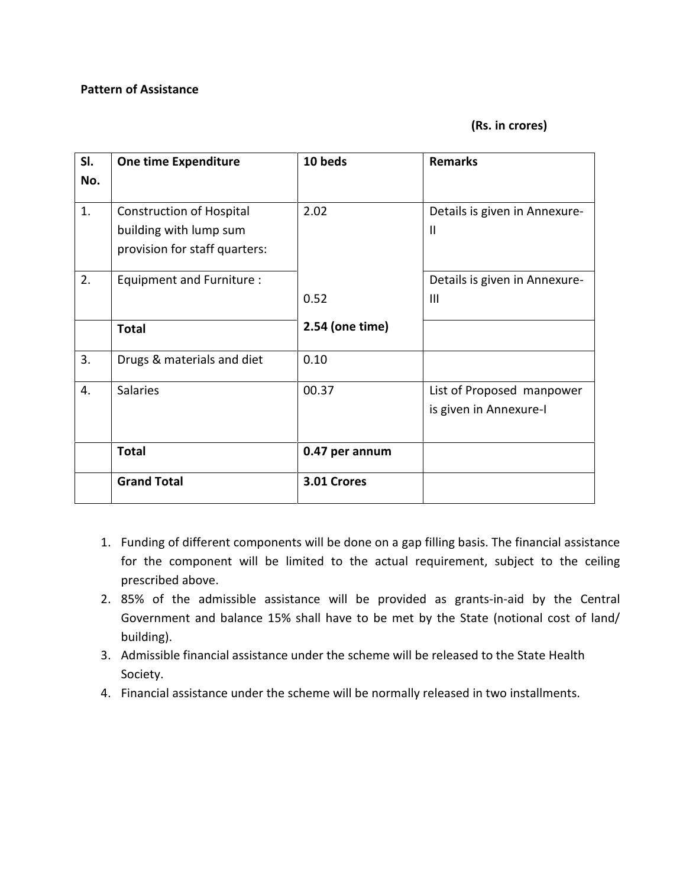## Pattern of Assistance

#### (Rs. in crores)

| SI.<br>No. | <b>One time Expenditure</b>     | 10 beds         | <b>Remarks</b>                |
|------------|---------------------------------|-----------------|-------------------------------|
|            |                                 |                 |                               |
| 1.         | <b>Construction of Hospital</b> | 2.02            | Details is given in Annexure- |
|            | building with lump sum          |                 | $\mathbf{I}$                  |
|            | provision for staff quarters:   |                 |                               |
| 2.         | Equipment and Furniture :       |                 | Details is given in Annexure- |
|            |                                 | 0.52            | $\mathbf{III}$                |
|            | <b>Total</b>                    | 2.54 (one time) |                               |
| 3.         | Drugs & materials and diet      | 0.10            |                               |
| 4.         | <b>Salaries</b>                 | 00.37           | List of Proposed manpower     |
|            |                                 |                 | is given in Annexure-I        |
|            |                                 |                 |                               |
|            | <b>Total</b>                    | 0.47 per annum  |                               |
|            | <b>Grand Total</b>              | 3.01 Crores     |                               |

- 1. Funding of different components will be done on a gap filling basis. The financial assistance for the component will be limited to the actual requirement, subject to the ceiling prescribed above.
- 2. 85% of the admissible assistance will be provided as grants-in-aid by the Central Government and balance 15% shall have to be met by the State (notional cost of land/ building).
- 3. Admissible financial assistance under the scheme will be released to the State Health Society.
- 4. Financial assistance under the scheme will be normally released in two installments.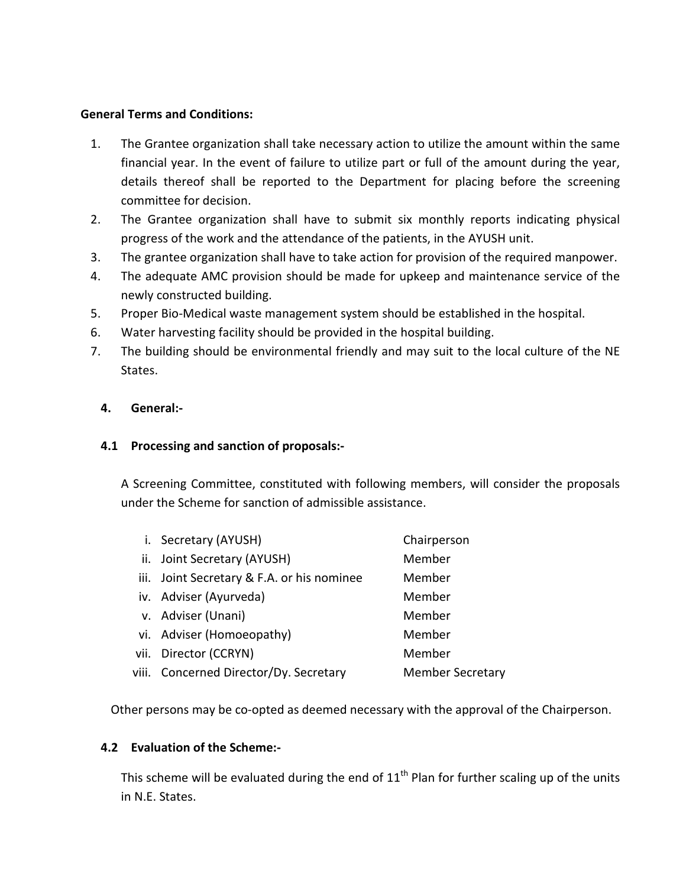#### General Terms and Conditions:

- 1. The Grantee organization shall take necessary action to utilize the amount within the same financial year. In the event of failure to utilize part or full of the amount during the year, details thereof shall be reported to the Department for placing before the screening committee for decision.
- 2. The Grantee organization shall have to submit six monthly reports indicating physical progress of the work and the attendance of the patients, in the AYUSH unit.
- 3. The grantee organization shall have to take action for provision of the required manpower.
- 4. The adequate AMC provision should be made for upkeep and maintenance service of the newly constructed building.
- 5. Proper Bio-Medical waste management system should be established in the hospital.
- 6. Water harvesting facility should be provided in the hospital building.
- 7. The building should be environmental friendly and may suit to the local culture of the NE States.

#### 4. General:-

### 4.1 Processing and sanction of proposals:-

A Screening Committee, constituted with following members, will consider the proposals under the Scheme for sanction of admissible assistance.

|      | i. Secretary (AYUSH)                       | Chairperson             |
|------|--------------------------------------------|-------------------------|
|      | ii. Joint Secretary (AYUSH)                | Member                  |
|      | iii. Joint Secretary & F.A. or his nominee | Member                  |
|      | iv. Adviser (Ayurveda)                     | Member                  |
|      | v. Adviser (Unani)                         | Member                  |
|      | vi. Adviser (Homoeopathy)                  | Member                  |
| vii. | Director (CCRYN)                           | Member                  |
|      | viii. Concerned Director/Dy. Secretary     | <b>Member Secretary</b> |
|      |                                            |                         |

Other persons may be co-opted as deemed necessary with the approval of the Chairperson.

#### 4.2 Evaluation of the Scheme:-

This scheme will be evaluated during the end of  $11<sup>th</sup>$  Plan for further scaling up of the units in N.E. States.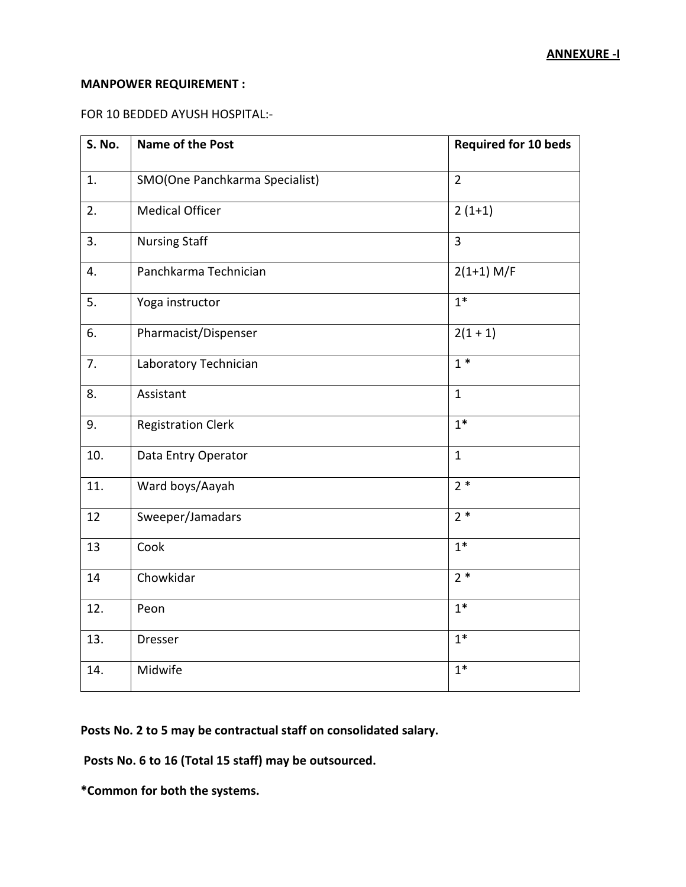#### MANPOWER REQUIREMENT :

#### FOR 10 BEDDED AYUSH HOSPITAL:-

| S. No. | <b>Name of the Post</b>        | <b>Required for 10 beds</b> |
|--------|--------------------------------|-----------------------------|
| 1.     | SMO(One Panchkarma Specialist) | $\overline{2}$              |
| 2.     | <b>Medical Officer</b>         | $2(1+1)$                    |
| 3.     | <b>Nursing Staff</b>           | 3                           |
| 4.     | Panchkarma Technician          | $2(1+1)$ M/F                |
| 5.     | Yoga instructor                | $1*$                        |
| 6.     | Pharmacist/Dispenser           | $2(1 + 1)$                  |
| 7.     | Laboratory Technician          | $1 *$                       |
| 8.     | Assistant                      | $\mathbf{1}$                |
| 9.     | <b>Registration Clerk</b>      | $1*$                        |
| 10.    | Data Entry Operator            | $\mathbf{1}$                |
| 11.    | Ward boys/Aayah                | $2*$                        |
| 12     | Sweeper/Jamadars               | $2*$                        |
| 13     | Cook                           | $1*$                        |
| 14     | Chowkidar                      | $2*$                        |
| 12.    | Peon                           | $1*$                        |
| 13.    | Dresser                        | $1*$                        |
| 14.    | Midwife                        | $1*$                        |

Posts No. 2 to 5 may be contractual staff on consolidated salary.

Posts No. 6 to 16 (Total 15 staff) may be outsourced.

\*Common for both the systems.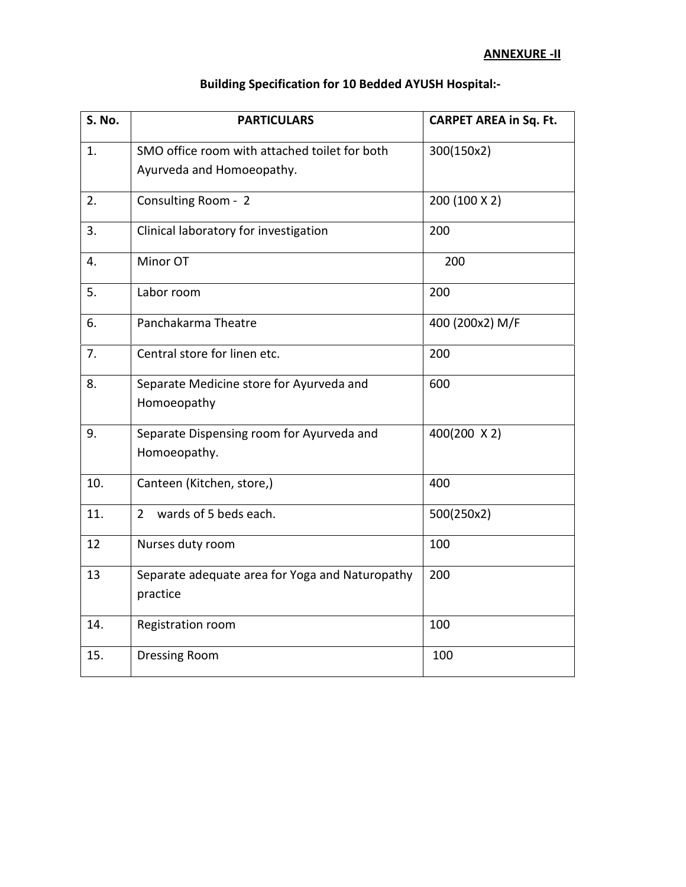| S. No. | <b>PARTICULARS</b>                                                         | <b>CARPET AREA in Sq. Ft.</b> |
|--------|----------------------------------------------------------------------------|-------------------------------|
| 1.     | SMO office room with attached toilet for both<br>Ayurveda and Homoeopathy. | 300(150x2)                    |
| 2.     | Consulting Room - 2<br>200 (100 X 2)                                       |                               |
| 3.     | Clinical laboratory for investigation                                      | 200                           |
| 4.     | Minor OT                                                                   | 200                           |
| 5.     | 200<br>Labor room                                                          |                               |
| 6.     | Panchakarma Theatre<br>400 (200x2) M/F                                     |                               |
| 7.     | Central store for linen etc.                                               | 200                           |
| 8.     | Separate Medicine store for Ayurveda and<br>Homoeopathy                    | 600                           |
| 9.     | Separate Dispensing room for Ayurveda and<br>Homoeopathy.                  | 400(200 X 2)                  |
| 10.    | Canteen (Kitchen, store,)                                                  | 400                           |
| 11.    | wards of 5 beds each.<br>$\overline{2}$                                    | 500(250x2)                    |
| 12     | Nurses duty room                                                           | 100                           |
| 13     | Separate adequate area for Yoga and Naturopathy<br>practice                | 200                           |
| 14.    | Registration room                                                          | 100                           |
| 15.    | 100<br><b>Dressing Room</b>                                                |                               |

## Building Specification for 10 Bedded AYUSH Hospital:-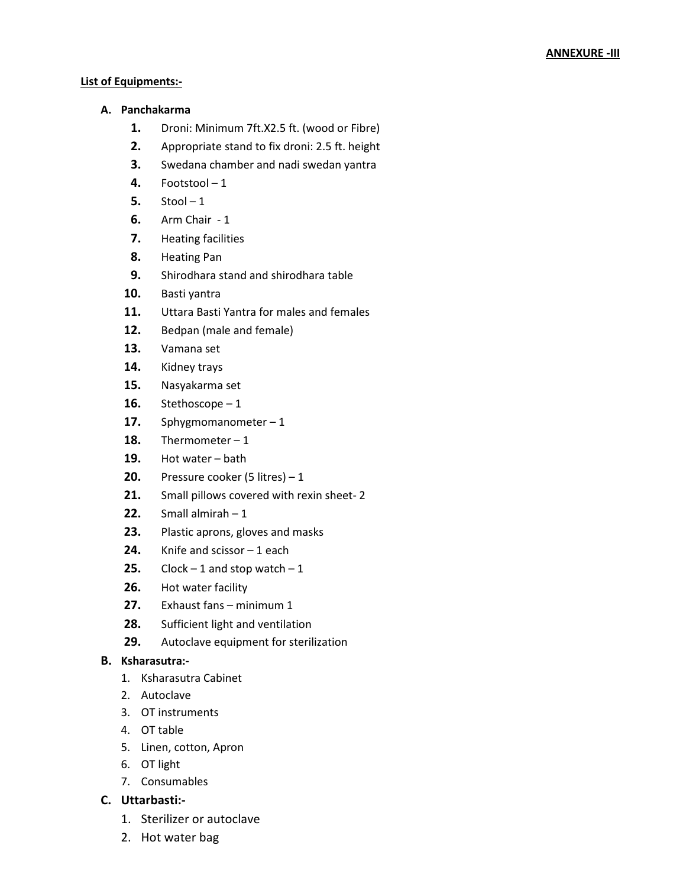#### List of Equipments:-

#### A. Panchakarma

- 1. Droni: Minimum 7ft.X2.5 ft. (wood or Fibre)
- 2. Appropriate stand to fix droni: 2.5 ft. height
- **3.** Swedana chamber and nadi swedan yantra
- 4. Footstool $-1$
- $5.$  Stool  $-1$
- 6. Arm Chair 1
- 7. Heating facilities
- 8. Heating Pan
- 9. Shirodhara stand and shirodhara table
- 10. Basti yantra
- 11. Uttara Basti Yantra for males and females
- 12. Bedpan (male and female)
- 13. Vamana set
- 14. Kidney trays
- 15. Nasyakarma set
- 16. Stethoscope  $-1$
- 17. Sphygmomanometer  $-1$
- 18. Thermometer  $-1$
- 19. Hot water bath
- **20.** Pressure cooker (5 litres)  $-1$
- 21. Small pillows covered with rexin sheet-2
- **22.** Small almirah  $-1$
- 23. Plastic aprons, gloves and masks
- **24.** Knife and scissor  $-1$  each
- **25.** Clock  $-1$  and stop watch  $-1$
- 26. Hot water facility
- 27. Exhaust fans minimum 1
- 28. Sufficient light and ventilation
- 29. Autoclave equipment for sterilization

#### B. Ksharasutra:-

- 1. Ksharasutra Cabinet
- 2. Autoclave
- 3. OT instruments
- 4. OT table
- 5. Linen, cotton, Apron
- 6. OT light
- 7. Consumables

#### C. Uttarbasti:-

- 1. Sterilizer or autoclave
- 2. Hot water bag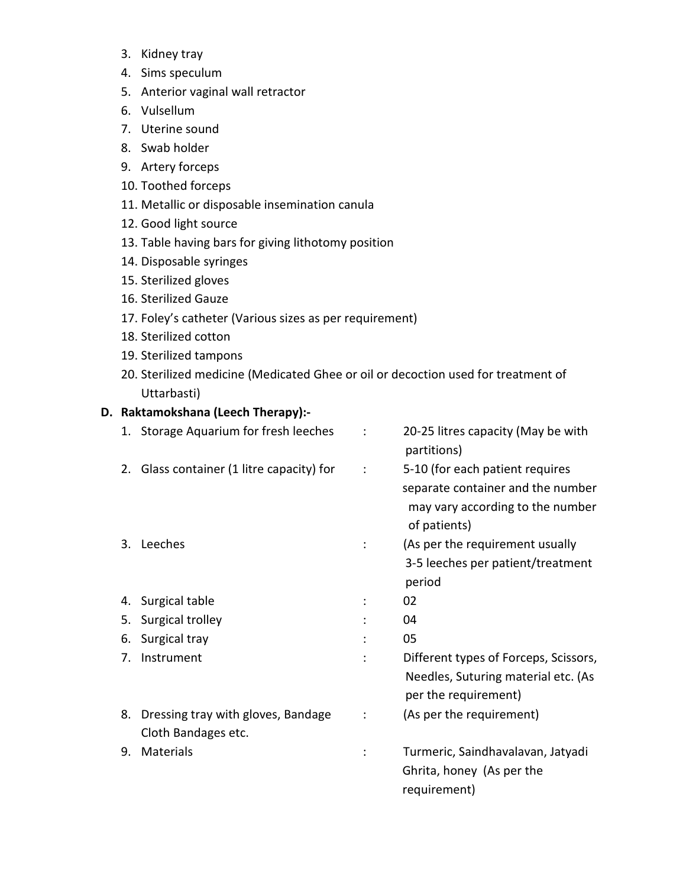- 3. Kidney tray
- 4. Sims speculum
- 5. Anterior vaginal wall retractor
- 6. Vulsellum
- 7. Uterine sound
- 8. Swab holder
- 9. Artery forceps
- 10. Toothed forceps
- 11. Metallic or disposable insemination canula
- 12. Good light source
- 13. Table having bars for giving lithotomy position
- 14. Disposable syringes
- 15. Sterilized gloves
- 16. Sterilized Gauze
- 17. Foley's catheter (Various sizes as per requirement)
- 18. Sterilized cotton
- 19. Sterilized tampons
- 20. Sterilized medicine (Medicated Ghee or oil or decoction used for treatment of Uttarbasti)

## D. Raktamokshana (Leech Therapy):-

|    | 1. Storage Aquarium for fresh leeches                        | 20-25 litres capacity (May be with<br>partitions)                                                                        |
|----|--------------------------------------------------------------|--------------------------------------------------------------------------------------------------------------------------|
|    | 2. Glass container (1 litre capacity) for                    | 5-10 (for each patient requires<br>separate container and the number<br>may vary according to the number<br>of patients) |
| 3. | Leeches                                                      | (As per the requirement usually<br>3-5 leeches per patient/treatment<br>period                                           |
|    | 4. Surgical table                                            | 02                                                                                                                       |
| 5. | Surgical trolley                                             | 04                                                                                                                       |
| 6. | Surgical tray                                                | 05                                                                                                                       |
| 7. | Instrument                                                   | Different types of Forceps, Scissors,<br>Needles, Suturing material etc. (As<br>per the requirement)                     |
|    | 8. Dressing tray with gloves, Bandage<br>Cloth Bandages etc. | (As per the requirement)                                                                                                 |
| 9. | <b>Materials</b>                                             | Turmeric, Saindhavalavan, Jatyadi<br>Ghrita, honey (As per the<br>requirement)                                           |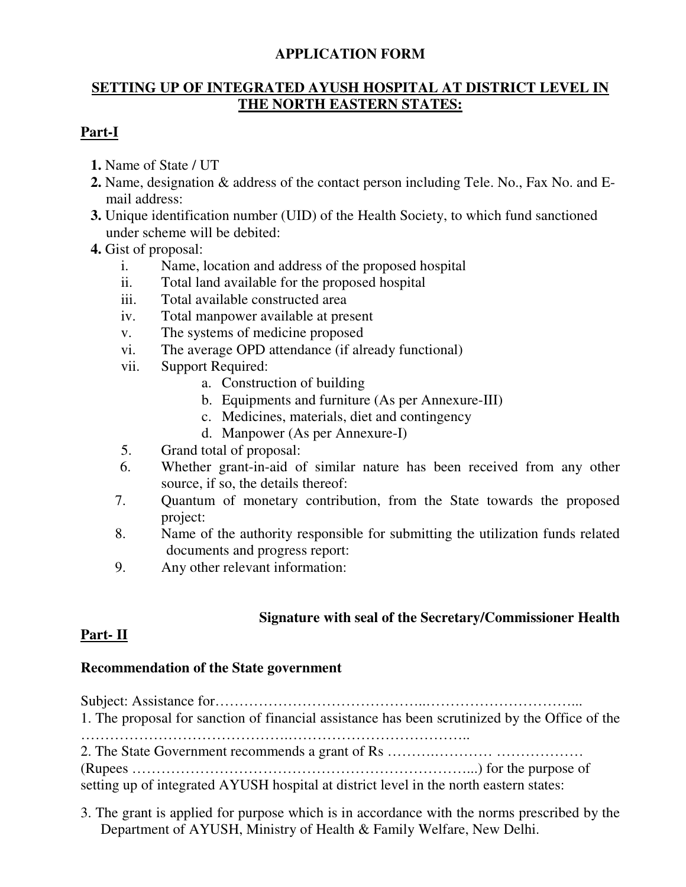## **APPLICATION FORM**

## **SETTING UP OF INTEGRATED AYUSH HOSPITAL AT DISTRICT LEVEL IN THE NORTH EASTERN STATES:**

## **Part-I**

- **1.** Name of State / UT
- **2.** Name, designation & address of the contact person including Tele. No., Fax No. and Email address:
- **3.** Unique identification number (UID) of the Health Society, to which fund sanctioned under scheme will be debited:
- **4.** Gist of proposal:
	- i. Name, location and address of the proposed hospital
	- ii. Total land available for the proposed hospital
	- iii. Total available constructed area
	- iv. Total manpower available at present
	- v. The systems of medicine proposed
	- vi. The average OPD attendance (if already functional)
	- vii. Support Required:
		- a. Construction of building
		- b. Equipments and furniture (As per Annexure-III)
		- c. Medicines, materials, diet and contingency
		- d. Manpower (As per Annexure-I)
	- 5. Grand total of proposal:
	- 6. Whether grant-in-aid of similar nature has been received from any other source, if so, the details thereof:
	- 7. Quantum of monetary contribution, from the State towards the proposed project:
	- 8. Name of the authority responsible for submitting the utilization funds related documents and progress report:
	- 9. Any other relevant information:

## **Signature with seal of the Secretary/Commissioner Health**

## **Part- II**

## **Recommendation of the State government**

| 1. The proposal for sanction of financial assistance has been scrutinized by the Office of the |
|------------------------------------------------------------------------------------------------|
| setting up of integrated AYUSH hospital at district level in the north eastern states:         |

3. The grant is applied for purpose which is in accordance with the norms prescribed by the Department of AYUSH, Ministry of Health & Family Welfare, New Delhi.